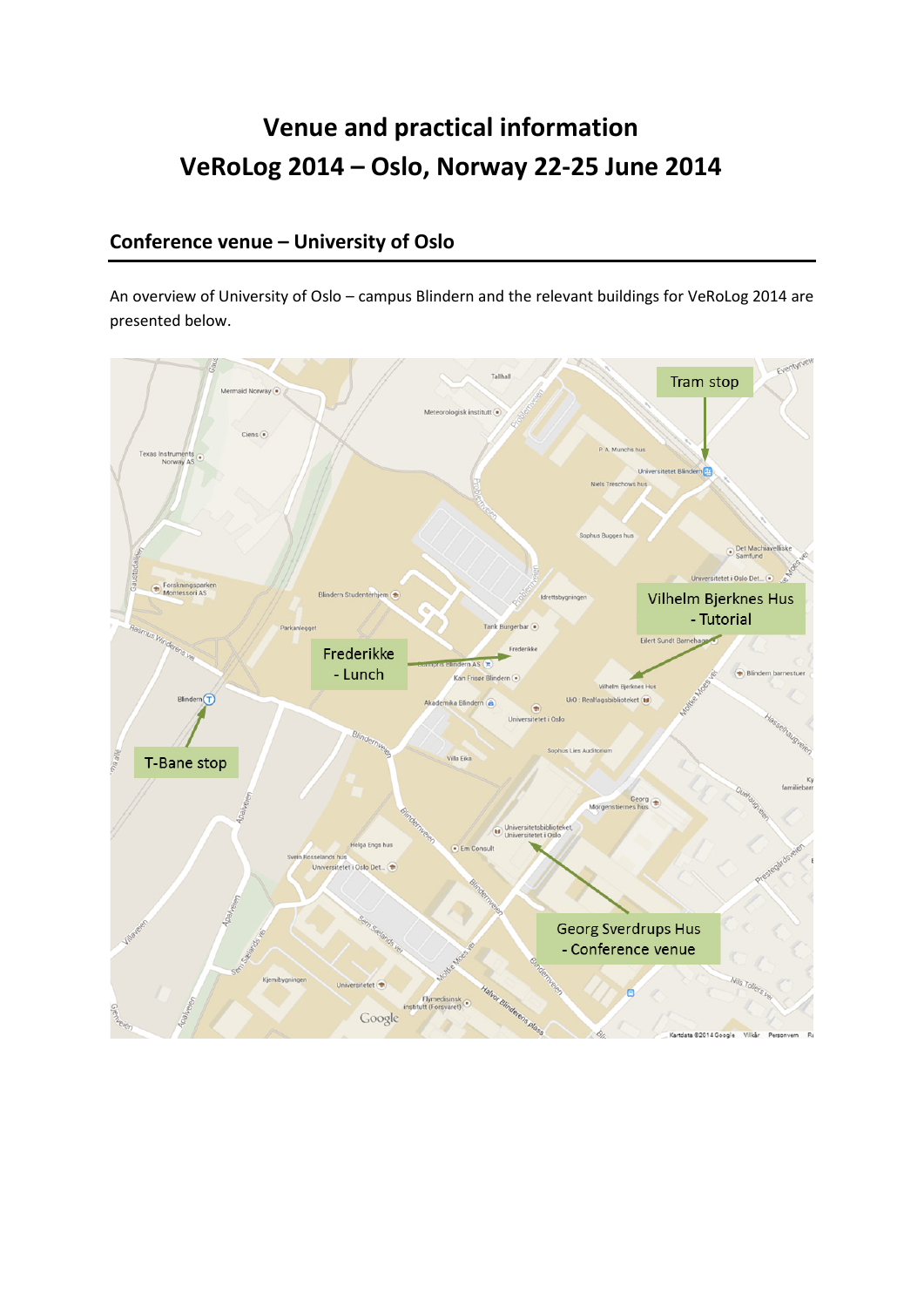# **Venue and practical information VeRoLog 2014 – Oslo, Norway 22-25 June 2014**

# **Conference venue – University of Oslo**

An overview of University of Oslo – campus Blindern and the relevant buildings for VeRoLog 2014 are presented below.

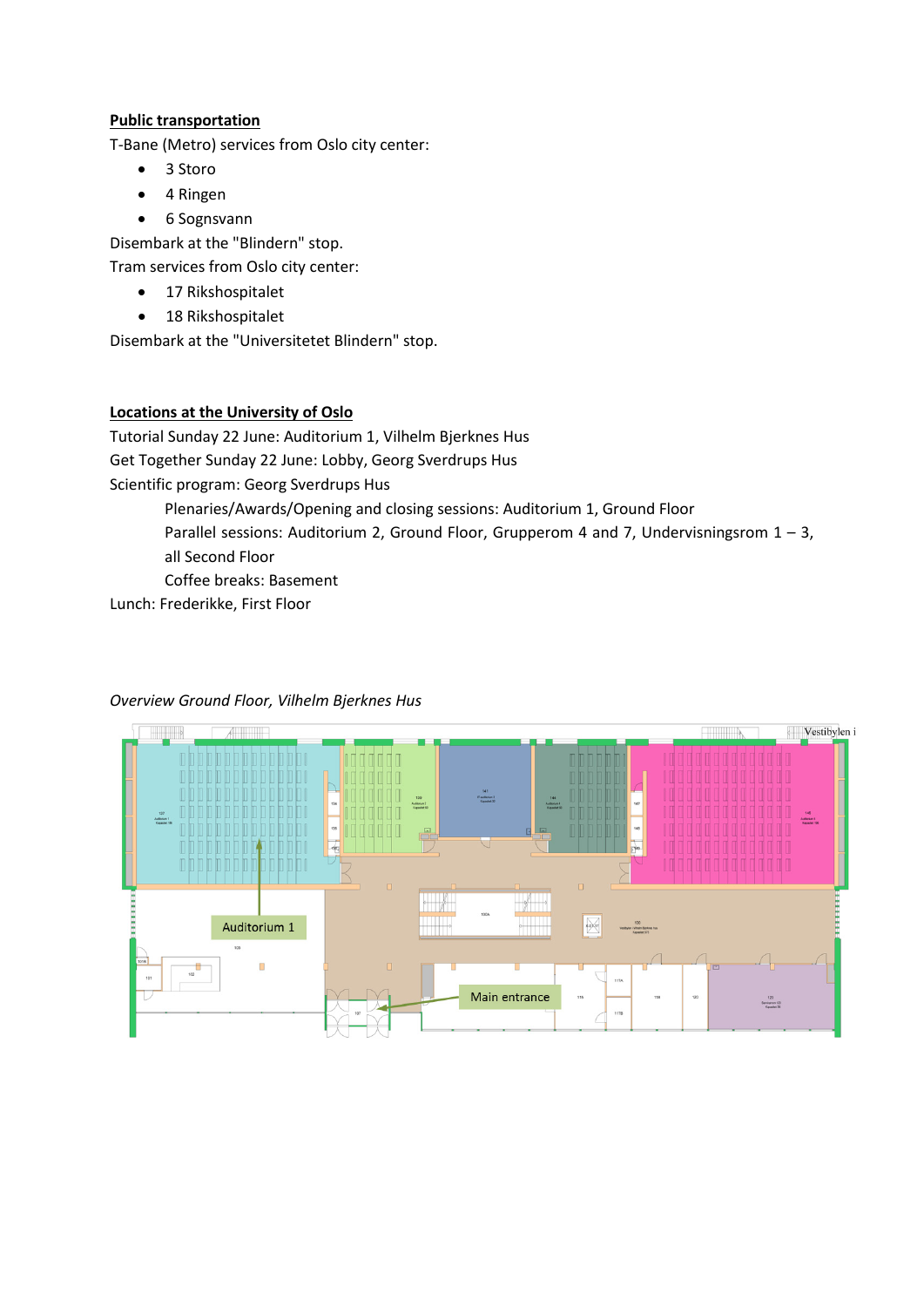### **Public transportation**

T-Bane (Metro) services from Oslo city center:

- 3 Storo
- 4 Ringen
- 6 Sognsvann

Disembark at the "Blindern" stop.

Tram services from Oslo city center:

- 17 Rikshospitalet
- 18 Rikshospitalet

Disembark at the "Universitetet Blindern" stop.

#### **Locations at the University of Oslo**

Tutorial Sunday 22 June: Auditorium 1, Vilhelm Bjerknes Hus Get Together Sunday 22 June: Lobby, Georg Sverdrups Hus Scientific program: Georg Sverdrups Hus

Plenaries/Awards/Opening and closing sessions: Auditorium 1, Ground Floor

Parallel sessions: Auditorium 2, Ground Floor, Grupperom 4 and 7, Undervisningsrom  $1 - 3$ , all Second Floor

Coffee breaks: Basement

Lunch: Frederikke, First Floor



## *Overview Ground Floor, Vilhelm Bjerknes Hus*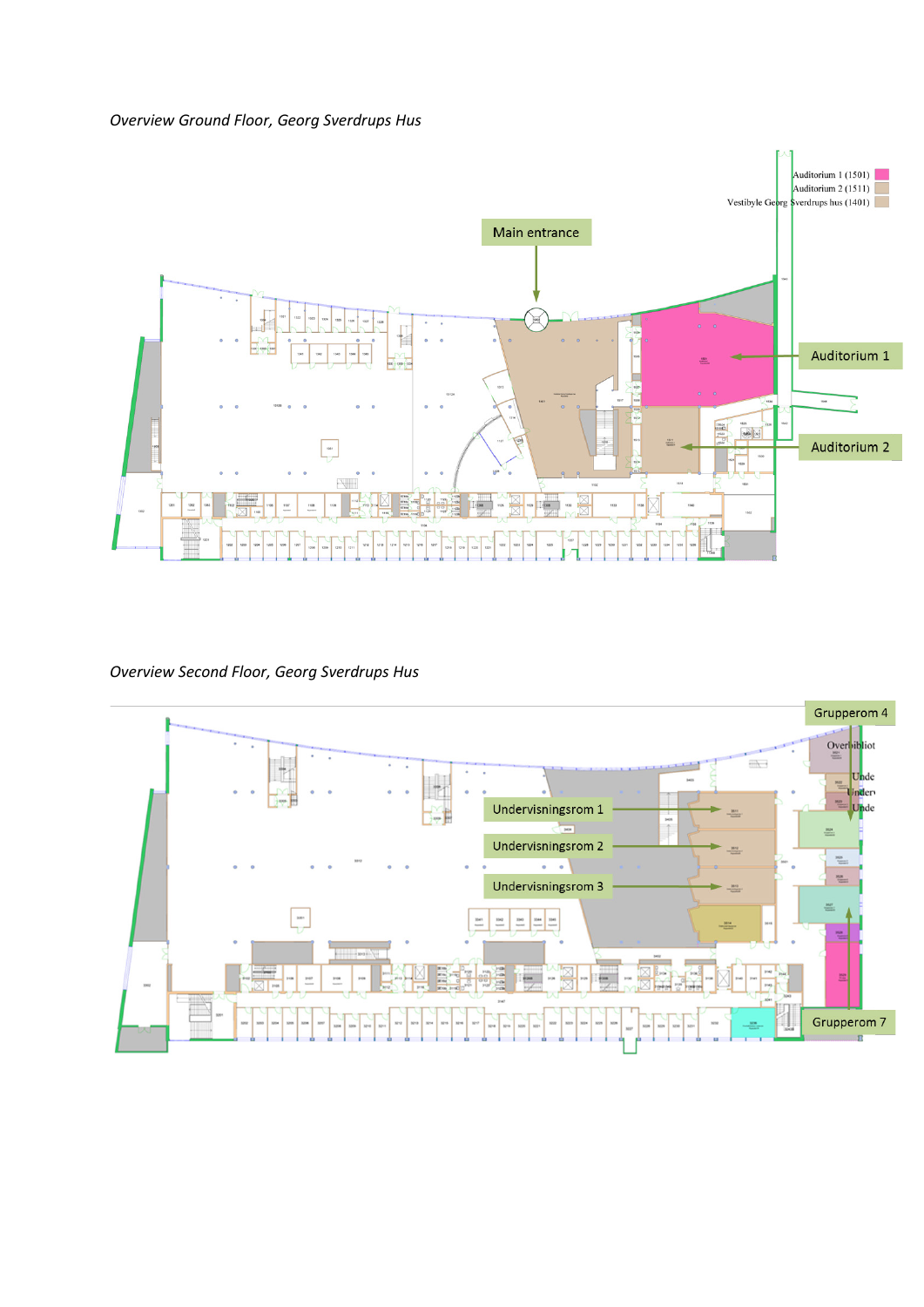

#### *Overview Second Floor, Georg Sverdrups Hus*

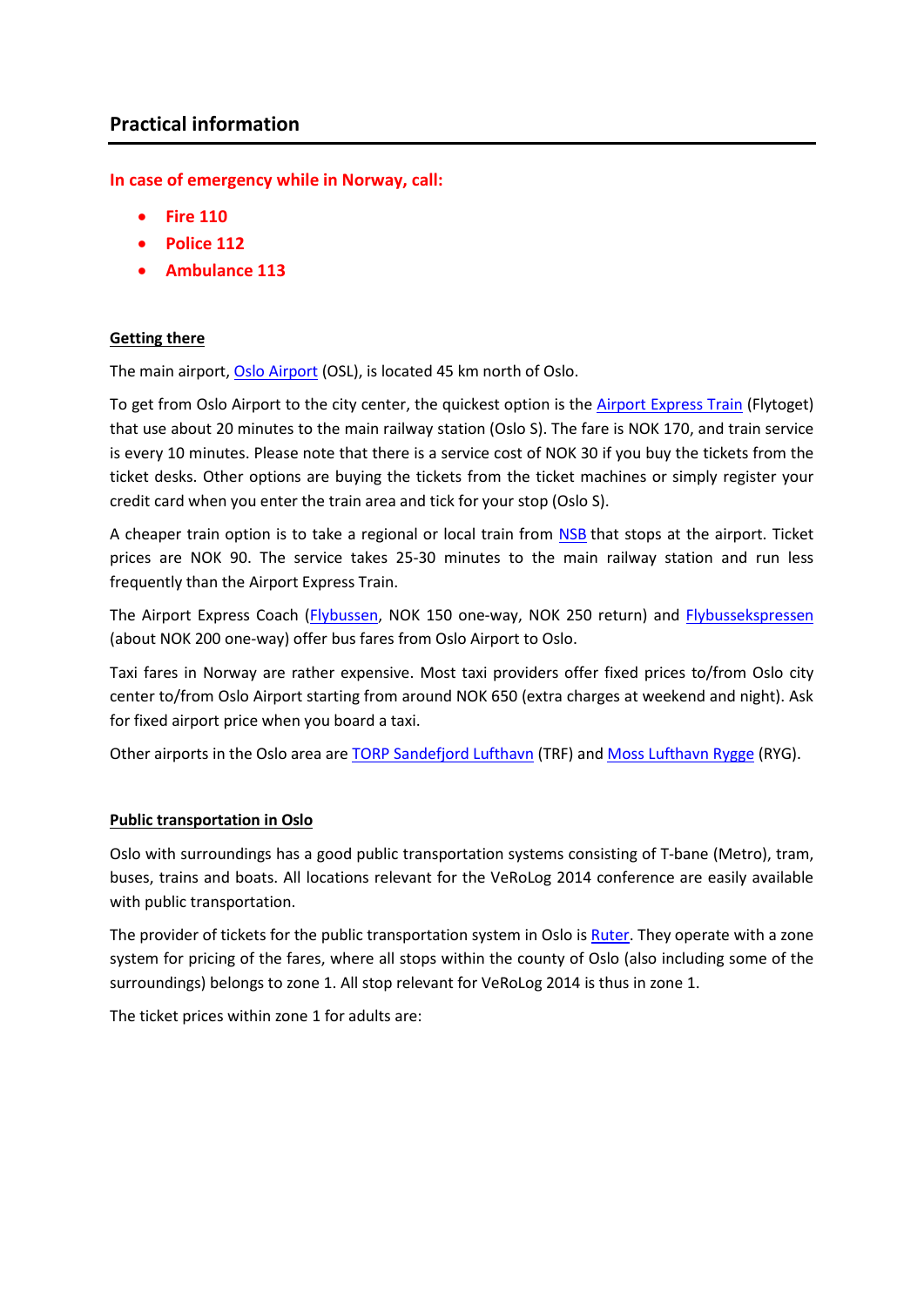**In case of emergency while in Norway, call:**

- **Fire 110**
- **Police 112**
- **Ambulance 113**

#### **Getting there**

The main airport, [Oslo Airport](http://www.osl.no/en/osl) (OSL), is located 45 km north of Oslo.

To get from Oslo Airport to the city center, the quickest option is the [Airport Express Train](http://www.flytoget.no/eng/) (Flytoget) that use about 20 minutes to the main railway station (Oslo S). The fare is NOK 170, and train service is every 10 minutes. Please note that there is a service cost of NOK 30 if you buy the tickets from the ticket desks. Other options are buying the tickets from the ticket machines or simply register your credit card when you enter the train area and tick for your stop (Oslo S).

A cheaper train option is to take a regional or local train from [NSB](https://www.nsb.no/en/our-destinations/airport-by-train) that stops at the airport. Ticket prices are NOK 90. The service takes 25-30 minutes to the main railway station and run less frequently than the Airport Express Train.

The Airport Express Coach [\(Flybussen,](http://www.flybussen.no/en/Oslo) NOK 150 one-way, NOK 250 return) and [Flybussekspressen](http://www.flybussekspressen.no/?lang=en_GB) (about NOK 200 one-way) offer bus fares from Oslo Airport to Oslo.

Taxi fares in Norway are rather expensive. Most taxi providers offer fixed prices to/from Oslo city center to/from Oslo Airport starting from around NOK 650 (extra charges at weekend and night). Ask for fixed airport price when you board a taxi.

Other airports in the Oslo area are [TORP Sandefjord Lufthavn](http://www.torp.no/?Language=EN) (TRF) and [Moss Lufthavn Rygge](http://www.en.ryg.no/) (RYG).

#### **Public transportation in Oslo**

Oslo with surroundings has a good public transportation systems consisting of T-bane (Metro), tram, buses, trains and boats. All locations relevant for the VeRoLog 2014 conference are easily available with public transportation.

The provider of tickets for the public transportation system in Oslo is [Ruter.](https://ruter.no/en/) They operate with a zone system for pricing of the fares, where all stops within the county of Oslo (also including some of the surroundings) belongs to zone 1. All stop relevant for VeRoLog 2014 is thus in zone 1.

The ticket prices within zone 1 for adults are: